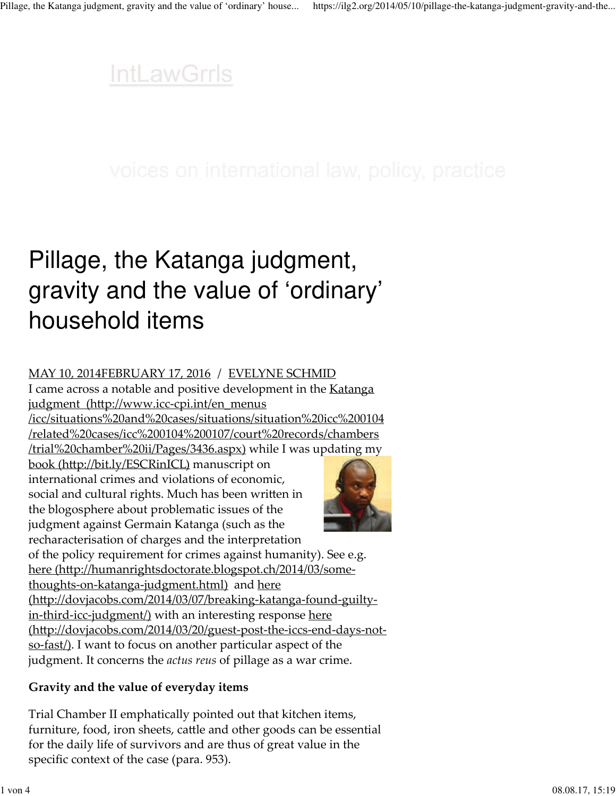### **IntLawGrrls**

# Pillage, the Katanga judgment, gravity and the value of 'ordinary' household items

#### MAY 10, 2014FEBRUARY 17, 2016 / EVELYNE SCHMID

I came across a notable and positive development in the **Katanga** judgment (http://www.icc-cpi.int/en\_menus /icc/situations%20and%20cases/situations/situation%20icc%200104 /related%20cases/icc%200104%200107/court%20records/chambers /trial%20chamber%20ii/Pages/3436.aspx) while I was updating my

book (http://bit.ly/ESCRinICL) manuscript on international crimes and violations of economic, social and cultural rights. Much has been written in the blogosphere about problematic issues of the judgment against Germain Katanga (such as the recharacterisation of charges and the interpretation



of the policy requirement for crimes against humanity). See e.g. here (http://humanrightsdoctorate.blogspot.ch/2014/03/somethoughts-on-katanga-judgment.html) and here (http://dovjacobs.com/2014/03/07/breaking-katanga-found-guiltyin-third-icc-judgment/) with an interesting response here (http://dovjacobs.com/2014/03/20/guest-post-the-iccs-end-days-notso-fast/). I want to focus on another particular aspect of the judgment. It concerns the *actus reus* of pillage as a war crime.

### **Gravity and the value of everyday items**

Trial Chamber II emphatically pointed out that kitchen items, furniture, food, iron sheets, cattle and other goods can be essential for the daily life of survivors and are thus of great value in the specific context of the case (para. 953).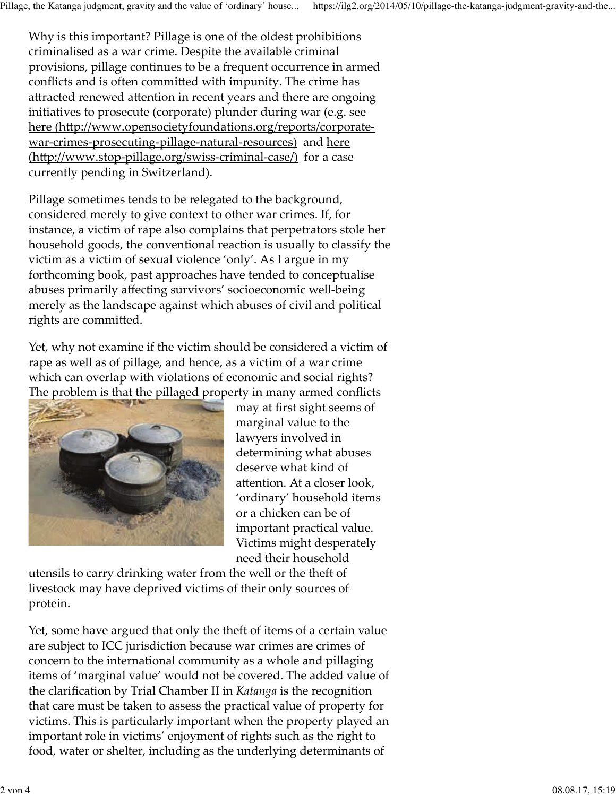Why is this important? Pillage is one of the oldest prohibitions criminalised as a war crime. Despite the available criminal provisions, pillage continues to be a frequent occurrence in armed conflicts and is often committed with impunity. The crime has attracted renewed attention in recent years and there are ongoing initiatives to prosecute (corporate) plunder during war (e.g. see here (http://www.opensocietyfoundations.org/reports/corporatewar-crimes-prosecuting-pillage-natural-resources) and here (http://www.stop-pillage.org/swiss-criminal-case/) for a case currently pending in Switzerland).

Pillage sometimes tends to be relegated to the background, considered merely to give context to other war crimes. If, for instance, a victim of rape also complains that perpetrators stole her household goods, the conventional reaction is usually to classify the victim as a victim of sexual violence 'only'. As I argue in my forthcoming book, past approaches have tended to conceptualise abuses primarily affecting survivors' socioeconomic well-being merely as the landscape against which abuses of civil and political rights are committed.

Yet, why not examine if the victim should be considered a victim of rape as well as of pillage, and hence, as a victim of a war crime which can overlap with violations of economic and social rights? The problem is that the pillaged property in many armed conflicts



may at first sight seems of marginal value to the lawyers involved in determining what abuses deserve what kind of attention. At a closer look, 'ordinary' household items or a chicken can be of important practical value. Victims might desperately need their household

utensils to carry drinking water from the well or the theft of livestock may have deprived victims of their only sources of protein.

Yet, some have argued that only the theft of items of a certain value are subject to ICC jurisdiction because war crimes are crimes of concern to the international community as a whole and pillaging items of 'marginal value' would not be covered. The added value of the clarification by Trial Chamber II in *Katanga* is the recognition that care must be taken to assess the practical value of property for victims. This is particularly important when the property played an important role in victims' enjoyment of rights such as the right to food, water or shelter, including as the underlying determinants of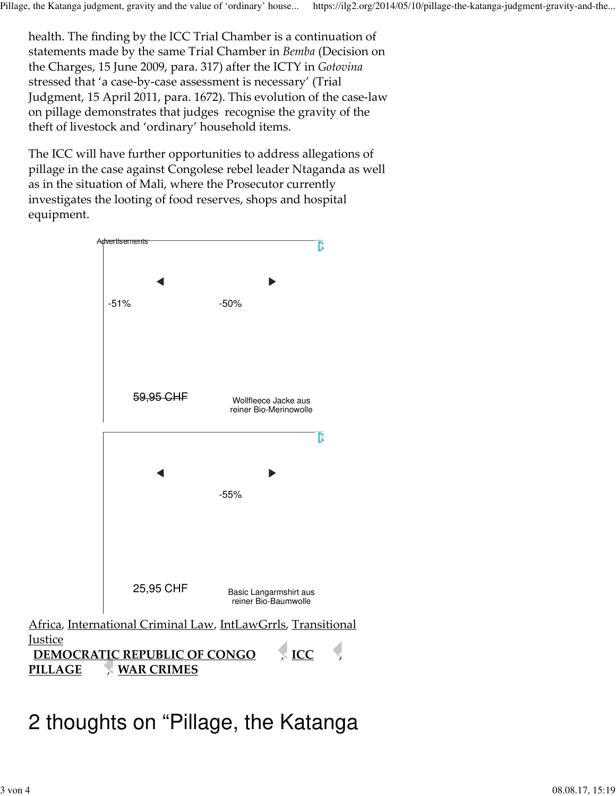health. The finding by the ICC Trial Chamber is a continuation of statements made by the same Trial Chamber in *Bemba* (Decision on the Charges, 15 June 2009, para. 317) after the ICTY in *Gotovina* stressed that 'a case-by-case assessment is necessary' (Trial Judgment, 15 April 2011, para. 1672). This evolution of the case-law on pillage demonstrates that judges recognise the gravity of the theft of livestock and 'ordinary' household items.

The ICC will have further opportunities to address allegations of pillage in the case against Congolese rebel leader Ntaganda as well as in the situation of Mali, where the Prosecutor currently investigates the looting of food reserves, shops and hospital equipment.



ICC , **PILLAGE WAR CRIMES DEMOCRATIC REPUBLIC OF CONGO** 

## 2 thoughts on "Pillage, the Katanga

**Justice**